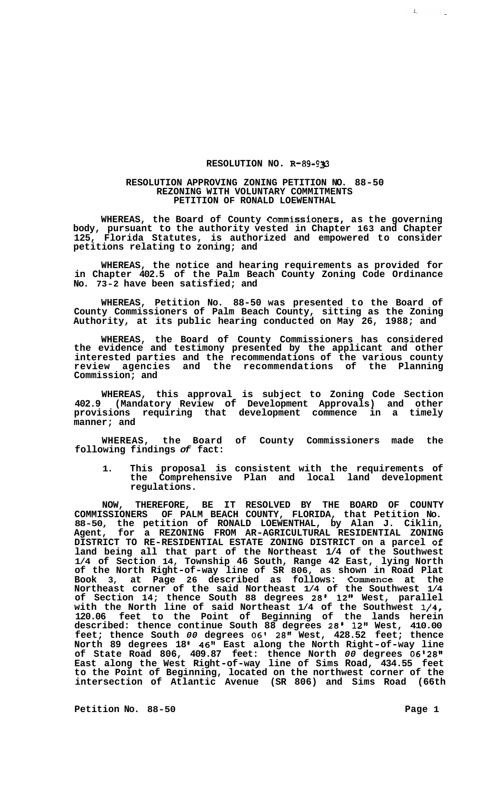## **RESOLUTION NO. R-89-933**

## **RESOLUTION APPROVING ZONING PETITION NO. 88-50 REZONING WITH VOLUNTARY COMMITMENTS PETITION OF RONALD LOEWENTHAL**

**WHEREAS, the Board of County Commissioners, as the governing body, pursuant to the authority vested in Chapter 163 and Chapter 125, Florida Statutes, is authorized and empowered to consider petitions relating to zoning; and** 

**WHEREAS, the notice and hearing requirements as provided for in Chapter 402.5 of the Palm Beach County Zoning Code Ordinance No. 73-2 have been satisfied; and** 

**WHEREAS, Petition No. 88-50 was presented to the Board of County Commissioners of Palm Beach County, sitting as the Zoning Authority, at its public hearing conducted on May 26, 1988; and** 

**WHEREAS, the Board of County Commissioners has considered the evidence and testimony presented by the applicant and other interested parties and the recommendations of the various county review agencies and the recommendations of the Planning Commission; and** 

**WHEREAS, this approval is subject to Zoning Code Section 402.9 (Mandatory Review of Development Approvals) and other provisions requiring that development commence in a timely manner; and** 

**WHEREAS, the Board of County Commissioners made the following findings** *of* **fact:** 

**1. This proposal is consistent with the requirements of the Comprehensive Plan and local land development regulations.** 

**NOW, THEREFORE, BE IT RESOLVED BY THE BOARD OF COUNTY COMMISSIONERS OF PALM BEACH COUNTY, FLORIDA, that Petition No. 88-50, the petition of RONALD LOEWENTHAL, by Alan J. Ciklin, Agent, for a REZONING FROM AR-AGRICULTURAL RESIDENTIAL ZONING land being all that part of the Northeast 1/4 of the Southwest 1/4 of Section 14, Township 46 South, Range 42 East, lying North of the North Right-of-way line of SR 806, as shown in Road Plat Book 3, at Page 26 described as follows: Commence at the Northeast corner of the said Northeast 1/4 of the Southwest 1/4 of Section 14; thence South 88 degrees 28' 12" West, parallel with the North line of said Northeast 1/4 of the Southwest 1/4, 120.06 feet to the Point of Beginning of the lands herein described: thence continue South 88 degrees 28' 12" West, 410.00 feet; thence South** *00* **degrees 06' 28" West, 428.52 feet; thence North 89 degrees 18 I 46" East along the North Right-of-way line of State Road 806, 409.87 feet: thence North 00 degrees 06'28" East along the West Right-of-way line of Sims Road, 434.55 feet to the Point of Beginning, located on the northwest corner of the intersection of Atlantic Avenue (SR 806) and Sims Road (66th DISTRICT TO RE-RESIDENTIAL ESTATE ZONING DISTRICT on a parcel Of** 

Petition No. 88-50 **Page 1 Page 1** 

 $\mathbf{L}_{\text{max}}$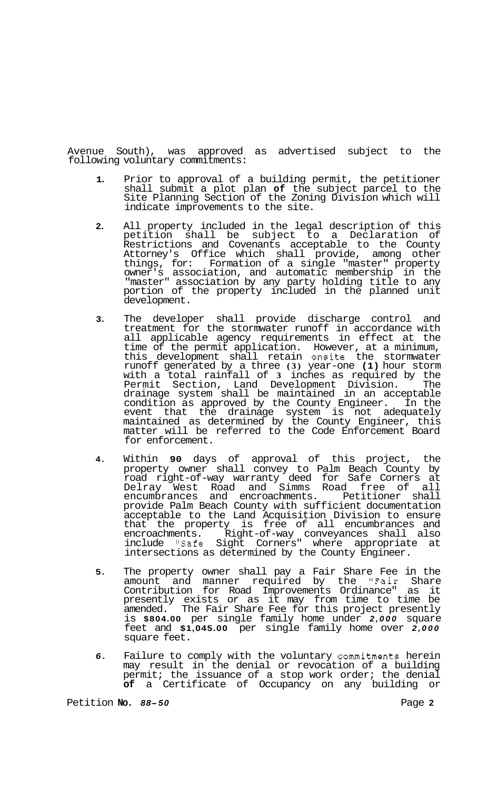Avenue South), was approved as advertised subject to the following voluntary commitments:

- **1.**  Prior to approval of a building permit, the petitioner shall submit a plot plan **of** the subject parcel to the Site Planning Section of the Zoning Division which will indicate improvements to the site.
- **2.**  All property included in the legal description of this petition shall be subject to a Declaration of Restrictions and Covenants acceptable to the County Attorney's Office which shall provide, among other things, for: Formation of a single "master" property owner's association, and automatic membership in the "master" association by any party holding title to any portion of the property included in the planned unit development.
- **3.**  The developer shall provide discharge control and treatment for the stormwater runoff in accordance with all applicable agency requirements in effect at the time of the permit application. However, at a minimum, this development shall retain onsite the stormwater runoff generated by a three **(3)** year-one **(1)** hour storm with a total rainfall of **3** inches as required by the Permit Section, Land Development Division. The drainage system shall be maintained in an acceptable condition as approved by the County Engineer. In the event that the drainage system is not adequately maintained as determined by the County Engineer, this matter will be referred to the Code Enforcement Board for enforcement.
- **4.**  Within **90** days of approval of this project, the property owner shall convey to Palm Beach County by road right-of-way warranty deed for Safe Corners at Delray West Road and Simms Road free of all encumbrances and encroachments. Petitioner shall provide Palm Beach County with sufficient documentation acceptable to the Land Acquisition Division to ensure that the property is free of all encumbrances and encroachments. Right-of-way conveyances shall also include "Safe Sight Corners" where appropriate at intersections as determined by the County Engineer.
- **5.**  The property owner shall pay a Fair Share Fee in the amount and manner required by the "Fair Share Contribution for Road Improvements Ordinance" as it presently exists or as it may from time to time be amended. The Fair Share Fee for this project presently is **\$804.00** per single family home under *2,000* square feet and **\$1,045.00** per single family home over *2,000*  square feet.
- *6.*  Failure to comply with the voluntary commitments herein may result in the denial or revocation of a building permit; the issuance of a stop work order; the denial **of** a Certificate of Occupancy on any building or

Petition **No. 88-50** Page 2